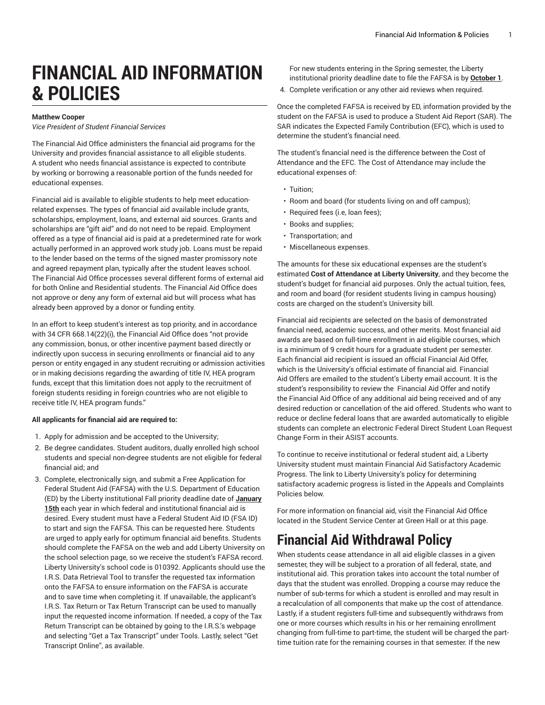# **FINANCIAL AID INFORMATION & POLICIES**

#### **Matthew Cooper**

*Vice President of Student Financial Services*

The Financial Aid Office administers the financial aid programs for the University and provides financial assistance to all eligible students. A student who needs financial assistance is expected to contribute by working or borrowing a reasonable portion of the funds needed for educational expenses.

Financial aid is available to eligible students to help meet educationrelated expenses. The types of financial aid available include grants, scholarships, employment, loans, and external aid sources. Grants and scholarships are "gift aid" and do not need to be repaid. Employment offered as a type of financial aid is paid at a predetermined rate for work actually performed in an approved work study job. Loans must be repaid to the lender based on the terms of the signed master promissory note and agreed repayment plan, typically after the student leaves school. The Financial Aid Office processes several different forms of external aid for both Online and Residential students. The Financial Aid Office does not approve or deny any form of external aid but will process what has already been approved by a donor or funding entity.

In an effort to keep student's interest as top priority, and in accordance with 34 CFR 668.14(22)(i), the Financial Aid Office does "not provide any commission, bonus, or other incentive payment based directly or indirectly upon success in securing enrollments or financial aid to any person or entity engaged in any student recruiting or admission activities or in making decisions regarding the awarding of title IV, HEA program funds, except that this limitation does not apply to the recruitment of foreign students residing in foreign countries who are not eligible to receive title IV, HEA program funds."

#### **All applicants for financial aid are required to:**

- 1. Apply for admission and be accepted to the University;
- 2. Be degree candidates. Student auditors, dually enrolled high school students and special non-degree students are not eligible for federal financial aid; and
- 3. Complete, electronically sign, and submit a Free Application for Federal Student Aid (FAFSA) with the U.S. Department of Education (ED) by the Liberty institutional Fall priority deadline date of **January 15th** each year in which federal and institutional financial aid is desired. Every student must have a Federal Student Aid ID (FSA ID) to start and sign the FAFSA. This can be requested [here.](https://studentaid.gov/fsa-id/create-account/launch/) Students are urged to apply early for optimum financial aid benefits. Students should complete the FAFSA on the [web](https://studentaid.gov/) and add Liberty University on the school selection page, so we receive the student's FAFSA record. Liberty University's school code is 010392. Applicants should use the I.R.S. Data Retrieval Tool to transfer the requested tax information onto the FAFSA to ensure information on the FAFSA is accurate and to save time when completing it. If unavailable, the applicant's I.R.S. Tax Return or Tax Return Transcript can be used to manually input the requested income information. If needed, a copy of the Tax Return Transcript can be obtained by going to the I.R.S.'s [webpage](http://www.irs.gov/) and selecting "Get a Tax Transcript" under Tools. Lastly, select "Get Transcript Online", as available.

For new students entering in the Spring semester, the Liberty institutional priority deadline date to file the FAFSA is by **October 1**.

4. Complete verification or any other aid reviews when required.

Once the completed FAFSA is received by ED, information provided by the student on the FAFSA is used to produce a Student Aid Report (SAR). The SAR indicates the Expected Family Contribution (EFC), which is used to determine the student's financial need.

The student's financial need is the difference between the Cost of Attendance and the EFC. The Cost of Attendance may include the educational expenses of:

- Tuition;
- Room and board (for students living on and off campus);
- Required fees (i.e, loan fees);
- Books and supplies;
- Transportation; and
- Miscellaneous expenses.

The amounts for these six educational expenses are the student's estimated **Cost of Attendance at Liberty University**, and they become the student's budget for financial aid purposes. Only the actual tuition, fees, and room and board (for resident students living in campus housing) costs are charged on the student's University bill.

Financial aid recipients are selected on the basis of demonstrated financial need, academic success, and other merits. Most financial aid awards are based on full-time enrollment in aid eligible courses, which is a minimum of 9 credit hours for a graduate student per semester. Each financial aid recipient is issued an official Financial Aid Offer, which is the University's official estimate of financial aid. Financial Aid Offers are emailed to the student's Liberty email account. It is the student's responsibility to review the Financial Aid Offer and notify the Financial Aid Office of any additional aid being received and of any desired reduction or cancellation of the aid offered. Students who want to reduce or decline federal loans that are awarded automatically to eligible students can complete an electronic Federal Direct Student Loan Request Change Form in their [ASIST](https://catalog.liberty.edu/graduate/admission/financial-aid-information-policies/www.liberty.edu/ASIST/) accounts.

To continue to receive institutional or federal student aid, a Liberty University student must maintain Financial Aid Satisfactory Academic Progress. The link to Liberty University's policy for determining satisfactory academic progress is listed in the Appeals and Complaints Policies below.

For more information on financial aid, visit the Financial Aid Office located in the Student Service Center at Green Hall or [at this page](https://www.liberty.edu/student-financial-services/).

### **Financial Aid Withdrawal Policy**

When students cease attendance in all aid eligible classes in a given semester, they will be subject to a proration of all federal, state, and institutional aid. This proration takes into account the total number of days that the student was enrolled. Dropping a course may reduce the number of sub-terms for which a student is enrolled and may result in a recalculation of all components that make up the cost of attendance. Lastly, if a student registers full-time and subsequently withdraws from one or more courses which results in his or her remaining enrollment changing from full-time to part-time, the student will be charged the parttime tuition rate for the remaining courses in that semester. If the new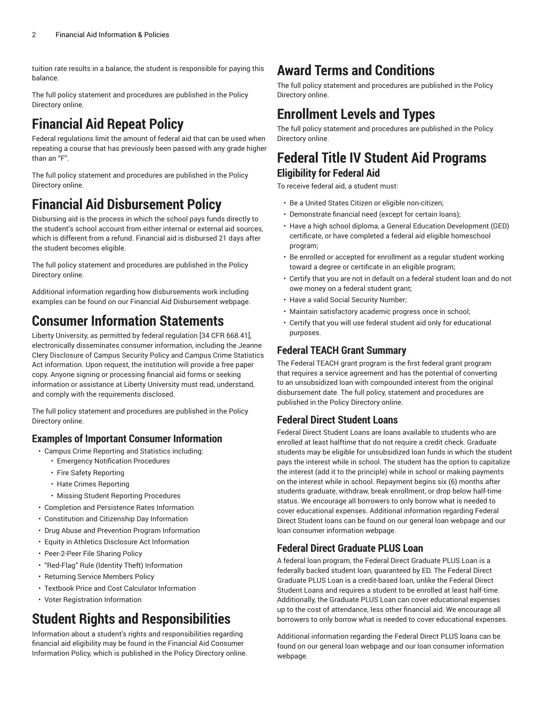tuition rate results in a balance, the student is responsible for paying this balance.

The full policy statement and procedures are published in the [Policy](https://wiki.os.liberty.edu/display/IE/12.1.0.0+2022-23+Financial+Aid+Withdrawal+Policy/) [Directory](https://wiki.os.liberty.edu/display/IE/12.1.0.0+2022-23+Financial+Aid+Withdrawal+Policy/) online.

# **Financial Aid Repeat Policy**

Federal regulations limit the amount of federal aid that can be used when repeating a course that has previously been passed with any grade higher than an "F".

The full policy statement and procedures are published in the [Policy](https://wiki.os.liberty.edu/display/IE/3.2.3.0+2022-23+Financial+Aid+Repeat+Coursework+Policy/) [Directory](https://wiki.os.liberty.edu/display/IE/3.2.3.0+2022-23+Financial+Aid+Repeat+Coursework+Policy/) online.

# **Financial Aid Disbursement Policy**

Disbursing aid is the process in which the school pays funds directly to the student's school account from either internal or external aid sources, which is different from a refund. Financial aid is disbursed 21 days after the student becomes eligible.

The full policy statement and procedures are published in the [Policy](https://wiki.os.liberty.edu/display/IE/10.0.0.0+Financial+Aid+Disbursement+Policy/) [Directory](https://wiki.os.liberty.edu/display/IE/10.0.0.0+Financial+Aid+Disbursement+Policy/) online.

Additional information regarding how disbursements work including examples can be found on our [Financial Aid Disbursement webpage.](https://www.liberty.edu/student-financial-services/payments/financial-aid-disbursement/)

## **Consumer Information Statements**

Liberty University, as permitted by federal regulation [34 CFR 668.41], electronically disseminates consumer information, including the Jeanne Clery Disclosure of Campus Security Policy and Campus Crime Statistics Act information. Upon request, the institution will provide a free paper copy. Anyone signing or processing financial aid forms or seeking information or assistance at Liberty University must read, understand, and comply with the requirements disclosed.

The full policy statement and procedures are published in the [Policy](https://wiki.os.liberty.edu/display/IE/4.0.0.0+Liberty+University+Financial+Aid+Consumer+Information/) [Directory](https://wiki.os.liberty.edu/display/IE/4.0.0.0+Liberty+University+Financial+Aid+Consumer+Information/) online.

#### **Examples of Important Consumer Information**

- Campus Crime Reporting and Statistics including:
	- Emergency Notification Procedures
	- Fire Safety Reporting
	- Hate Crimes Reporting
	- Missing Student Reporting Procedures
- Completion and Persistence Rates Information
- Constitution and Citizenship Day Information
- Drug Abuse and Prevention Program Information
- Equity in Athletics Disclosure Act Information
- Peer-2-Peer File Sharing Policy
- "Red-Flag" Rule (Identity Theft) Information
- Returning Service Members Policy
- Textbook Price and Cost Calculator Information
- Voter Registration Information

## **Student Rights and Responsibilities**

Information about a student's rights and responsibilities regarding financial aid eligibility may be found in the Financial Aid Consumer Information Policy, which is published in the Policy [Directory](https://wiki.os.liberty.edu/display/IE/4.0.0.0+Liberty+University+Financial+Aid+Consumer+Information/) online.

### **Award Terms and Conditions**

The full policy statement and procedures are published in the [Policy](https://wiki.os.liberty.edu/display/IE/4.1.9.0+2022-23+Award+Terms+and+Conditions/) [Directory](https://wiki.os.liberty.edu/display/IE/4.1.9.0+2022-23+Award+Terms+and+Conditions/) online.

### **Enrollment Levels and Types**

The full policy statement and procedures are published in the [Policy](https://wiki.os.liberty.edu/display/IE/3.2.1.0+Enrollment+Levels+and+Types+Policy/) [Directory](https://wiki.os.liberty.edu/display/IE/3.2.1.0+Enrollment+Levels+and+Types+Policy/) online.

### **Federal Title IV Student Aid Programs Eligibility for Federal Aid**

To receive federal aid, a student must:

- Be a United States Citizen or eligible non-citizen;
- Demonstrate financial need (except for certain loans);
- Have a high school diploma, a General Education Development (GED) certificate, or have completed a federal aid eligible homeschool program;
- Be enrolled or accepted for enrollment as a regular student working toward a degree or certificate in an eligible program;
- Certify that you are not in default on a federal student loan and do not owe money on a federal student grant;
- Have a valid Social Security Number;
- Maintain satisfactory academic progress once in school;
- Certify that you will use federal student aid only for educational purposes.

#### **Federal TEACH Grant Summary**

The Federal TEACH grant program is the first federal grant program that requires a service agreement and has the potential of converting to an unsubsidized loan with compounded interest from the original disbursement date. The full policy, statement and procedures are published in the Policy [Directory](https://wiki.os.liberty.edu/display/IE/3.3.4.0+Federal+TEACH+Grant+Policy/) online.

#### **Federal Direct Student Loans**

Federal Direct Student Loans are loans available to students who are enrolled at least halftime that do not require a credit check. Graduate students may be eligible for unsubsidized loan funds in which the student pays the interest while in school. The student has the option to capitalize the interest (add it to the principle) while in school or making payments on the interest while in school. Repayment begins six (6) months after students graduate, withdraw, break enrollment, or drop below half-time status. We encourage all borrowers to only borrow what is needed to cover educational expenses. Additional information regarding Federal Direct Student loans can be found on our general loan [webpage](https://www.liberty.edu/student-financial-services/loans/) and our loan consumer information [webpage](https://www.liberty.edu/student-financial-services/consumer-information/loans/).

### **Federal Direct Graduate PLUS Loan**

A federal loan program, the Federal Direct Graduate PLUS Loan is a federally backed student loan, guaranteed by ED. The Federal Direct Graduate PLUS Loan is a credit-based loan, unlike the Federal Direct Student Loans and requires a student to be enrolled at least half-time. Additionally, the Graduate PLUS Loan can cover educational expenses up to the cost of attendance, less other financial aid. We encourage all borrowers to only borrow what is needed to cover educational expenses.

Additional information regarding the Federal Direct PLUS loans can be found on our [general loan webpage](https://www.liberty.edu/student-financial-services/loans/) and our loan consumer information [webpage.](https://www.liberty.edu/student-financial-services/consumer-information/loans/)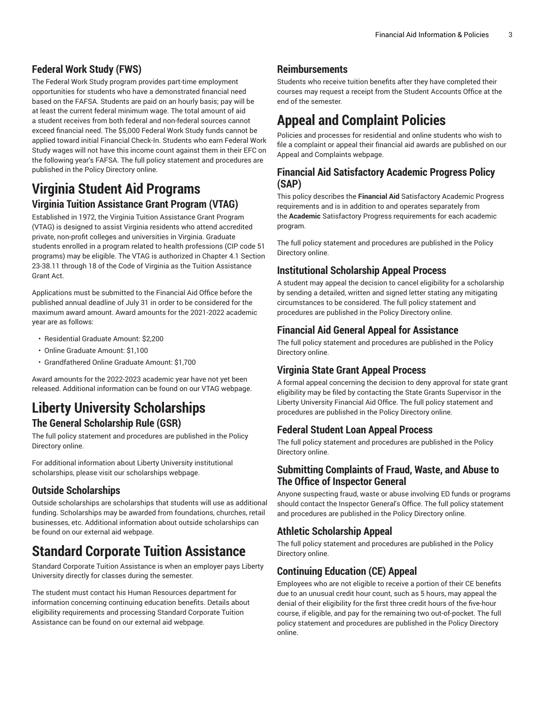#### **Federal Work Study (FWS)**

The Federal Work Study program provides part-time employment opportunities for students who have a demonstrated financial need based on the FAFSA. Students are paid on an hourly basis; pay will be at least the current federal minimum wage. The total amount of aid a student receives from both federal and non-federal sources cannot exceed financial need. The \$5,000 Federal Work Study funds cannot be applied toward initial Financial Check-In. Students who earn Federal Work Study wages will not have this income count against them in their EFC on the following year's FAFSA. The full policy statement and procedures are published in the Policy [Directory](https://wiki.os.liberty.edu/display/IE/3.3.3.0+Federal+Work+Study+Program+Policy/) online.

### **Virginia Student Aid Programs Virginia Tuition Assistance Grant Program (VTAG)**

Established in 1972, the Virginia Tuition Assistance Grant Program (VTAG) is designed to assist Virginia residents who attend accredited private, non-profit colleges and universities in Virginia. Graduate students enrolled in a program related to health professions (CIP code 51 programs) may be eligible. The VTAG is authorized in Chapter 4.1 Section 23-38.11 through 18 of the Code of Virginia as the Tuition Assistance Grant Act.

Applications must be submitted to the Financial Aid Office before the published annual deadline of July 31 in order to be considered for the maximum award amount. Award amounts for the 2021-2022 academic year are as follows:

- Residential Graduate Amount: \$2,200
- Online Graduate Amount: \$1,100
- Grandfathered Online Graduate Amount: \$1,700

Award amounts for the 2022-2023 academic year have not yet been released. Additional information can be found on our VTAG [webpage.](https://www.liberty.edu/student-financial-services/vtag/)

### **Liberty University Scholarships The General Scholarship Rule (GSR)**

The full policy statement and procedures are published in the [Policy](https://wiki.os.liberty.edu/display/IE/3.5.4.0+2022-23+General+Scholarship+Rule+Policy/) [Directory](https://wiki.os.liberty.edu/display/IE/3.5.4.0+2022-23+General+Scholarship+Rule+Policy/) online.

For additional information about Liberty University institutional scholarships, please visit our scholarships [webpage.](https://www.liberty.edu/student-financial-services/scholarships/)

#### **Outside Scholarships**

Outside scholarships are scholarships that students will use as additional funding. Scholarships may be awarded from foundations, churches, retail businesses, etc. Additional information about outside scholarships can be found on our [external aid webpage.](https://www.liberty.edu/student-financial-services/external-aid-processing/)

### **Standard Corporate Tuition Assistance**

Standard Corporate Tuition Assistance is when an employer pays Liberty University directly for classes during the semester.

The student must contact his Human Resources department for information concerning continuing education benefits. Details about eligibility requirements and processing Standard Corporate Tuition Assistance can be found on our external aid [webpage.](https://www.liberty.edu/student-financial-services/external-aid-processing/)

#### **Reimbursements**

Students who receive tuition benefits after they have completed their courses may request a receipt from the Student Accounts Office at the end of the semester.

# **Appeal and Complaint Policies**

Policies and processes for residential and online students who wish to file a complaint or appeal their financial aid awards are published on our [Appeal and Complaints webpage.](https://www.liberty.edu/student-financial-services/account-appeals-complaints/) 

#### **Financial Aid Satisfactory Academic Progress Policy (SAP)**

This policy describes the **Financial Aid** Satisfactory Academic Progress requirements and is in addition to and operates separately from the **Academic** Satisfactory Progress requirements for each academic program.

The full policy statement and procedures are published in the [Policy](https://wiki.os.liberty.edu/display/IE/11.1.0.0+2022-23+Financial+Aid+Satisfactory+Academic+Progress+Policy/) [Directory](https://wiki.os.liberty.edu/display/IE/11.1.0.0+2022-23+Financial+Aid+Satisfactory+Academic+Progress+Policy/) online.

### **Institutional Scholarship Appeal Process**

A student may appeal the decision to cancel eligibility for a scholarship by sending a detailed, written and signed letter stating any mitigating circumstances to be considered. The full policy statement and procedures are published in the Policy [Directory](https://wiki.os.liberty.edu/display/IE/4.1.7.2+Institutional+Scholarship+Appeal+Process/) online.

#### **Financial Aid General Appeal for Assistance**

The full policy statement and procedures are published in the [Policy](https://wiki.os.liberty.edu/display/IE/4.1.7.1+Financial+Aid+General+Appeal+for+Assistance/) [Directory](https://wiki.os.liberty.edu/display/IE/4.1.7.1+Financial+Aid+General+Appeal+for+Assistance/) online.

#### **Virginia State Grant Appeal Process**

A formal appeal concerning the decision to deny approval for state grant eligibility may be filed by contacting the State Grants Supervisor in the Liberty University Financial Aid Office. The full policy statement and procedures are published in the Policy [Directory](https://wiki.os.liberty.edu/display/IE/4.1.7.4+Virginia+State+Grant+Appeal+Policy/) online.

#### **Federal Student Loan Appeal Process**

The full policy statement and procedures are published in the [Policy](https://wiki.os.liberty.edu/display/IE/4.1.7.5+Federal+Student+Loan+Appeal+Process/) [Directory](https://wiki.os.liberty.edu/display/IE/4.1.7.5+Federal+Student+Loan+Appeal+Process/) online.

#### **Submitting Complaints of Fraud, Waste, and Abuse to The Office of Inspector General**

Anyone suspecting fraud, waste or abuse involving ED funds or programs should contact the Inspector General's Office. The full policy statement and procedures are published in the Policy [Directory](https://wiki.os.liberty.edu/display/IE/4.1.7.6+Submitting+Complaints+of+Fraud,+Waste,+and+Abuse+to+the+Office+of+Inspector+General/) online.

#### **Athletic Scholarship Appeal**

The full policy statement and procedures are published in the [Policy](https://wiki.os.liberty.edu/display/IE/4.1.7.8+Athletic+Scholarship+Appeal/) [Directory](https://wiki.os.liberty.edu/display/IE/4.1.7.8+Athletic+Scholarship+Appeal/) online.

### **Continuing Education (CE) Appeal**

Employees who are not eligible to receive a portion of their CE benefits due to an unusual credit hour count, such as 5 hours, may appeal the denial of their eligibility for the first three credit hours of the five-hour course, if eligible, and pay for the remaining two out-of-pocket. The full policy statement and procedures are published in the Policy [Directory](https://wiki.os.liberty.edu/display/IE/4.1.7.7+Continuing+Education+Appeal/) [online.](https://wiki.os.liberty.edu/display/IE/4.1.7.7+Continuing+Education+Appeal/)